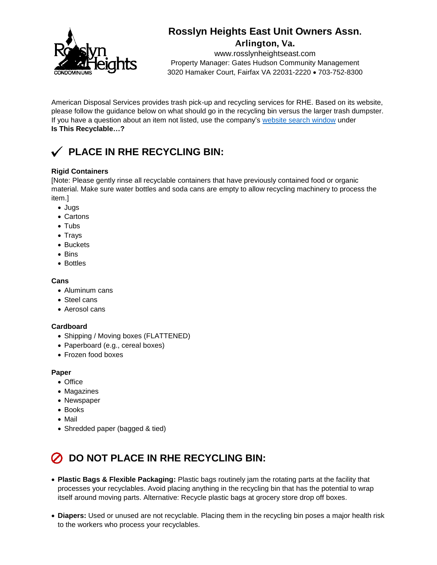

# **Rosslyn Heights East Unit Owners Assn.**

Arlington, Va.

www.rosslynheightseast.com Property Manager: Gates Hudson Community Management 3020 Hamaker Court, Fairfax VA 22031-2220 703-752-8300

American Disposal Services provides trash pick-up and recycling services for RHE. Based on its website, please follow the guidance below on what should go in the recycling bin versus the larger trash dumpster. If you have a question about an item not listed, use the company's [website search window](https://www.americandisposal.com/recycling) under **Is This Recyclable…?**

## **PLACE IN RHE RECYCLING BIN:**

### **Rigid Containers**

[Note: Please gently rinse all recyclable containers that have previously contained food or organic material. Make sure water bottles and soda cans are empty to allow recycling machinery to process the item.]

- Jugs
- Cartons
- Tubs
- Trays
- Buckets
- Bins
- Bottles

### **Cans**

- Aluminum cans
- Steel cans
- Aerosol cans

#### **Cardboard**

- Shipping / Moving boxes (FLATTENED)
- Paperboard (e.g., cereal boxes)
- Frozen food boxes

#### **Paper**

- Office
- Magazines
- Newspaper
- Books
- Mail
- Shredded paper (bagged & tied)

# **DO NOT PLACE IN RHE RECYCLING BIN:**

- **Plastic Bags & Flexible Packaging:** Plastic bags routinely jam the rotating parts at the facility that processes your recyclables. Avoid placing anything in the recycling bin that has the potential to wrap itself around moving parts. Alternative: Recycle plastic bags at grocery store drop off boxes.
- **Diapers:** Used or unused are not recyclable. Placing them in the recycling bin poses a major health risk to the workers who process your recyclables.